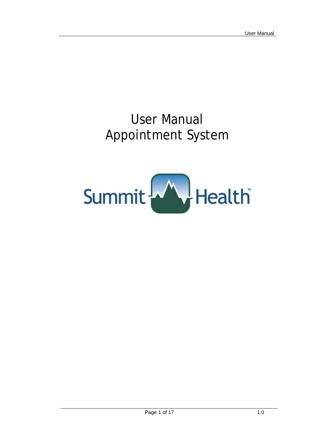# User Manual Appointment System

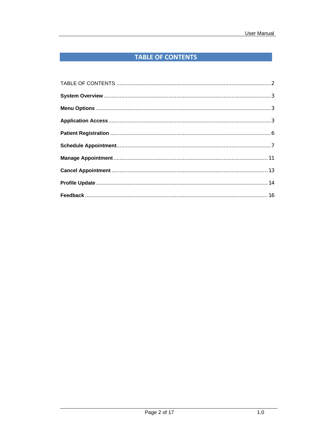# TABLE OF CONTENTS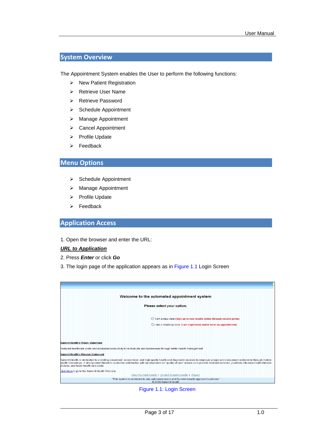## **System Overview**

The Appointment System enables the User to perform the following functions:

- ¾ New Patient Registration
- ¾ Retrieve User Name
- ¾ Retrieve Password
- ¾ Schedule Appointment
- ¾ Manage Appointment
- ¾ Cancel Appointment
- ¾ Profile Update
- $\triangleright$  Feedback

### **Menu Options**

- ¾ Schedule Appointment
- ¾ Manage Appointment
- ¾ Profile Update
- $\triangleright$  Feedback

#### **Application Access**

1. Open the browser and enter the URL:

#### *URL to Application*

- 2. Press *Enter* or click *Go*
- 3. The login page of the application appears as in Figure 1.1 Login Screen

| Welcome to the automated appointment system                                                                                                                                                                                                                                                                                                                                                                 |
|-------------------------------------------------------------------------------------------------------------------------------------------------------------------------------------------------------------------------------------------------------------------------------------------------------------------------------------------------------------------------------------------------------------|
| Please select your option.                                                                                                                                                                                                                                                                                                                                                                                  |
| ◯ I am a new User (Sign-up to see results online through secure portal)                                                                                                                                                                                                                                                                                                                                     |
| O I am a returning User (I am registered and/or have an appointment)                                                                                                                                                                                                                                                                                                                                        |
|                                                                                                                                                                                                                                                                                                                                                                                                             |
|                                                                                                                                                                                                                                                                                                                                                                                                             |
| <b>Summit Health's Vision Statement</b>                                                                                                                                                                                                                                                                                                                                                                     |
| Reduced healthcare costs and increased productivity for individuals and businesses through better health management.                                                                                                                                                                                                                                                                                        |
| <b>Summit Health's Mission Statement</b>                                                                                                                                                                                                                                                                                                                                                                    |
| Bummit Health is dedicated to providing convenient, economical, and high quality health and diagnostic services to employer groups and consumers nationwide through mobile<br>health screenings. A strong commitment to customer satisfaction with an emphasis on "quality of care" allows us to provide excellent services, positively influence health lifestyle<br>choices, and lower health care costs. |
| Click Here to go to the Summit Health Web site                                                                                                                                                                                                                                                                                                                                                              |
| About Summit Health   Contact Summit Health   Privacy                                                                                                                                                                                                                                                                                                                                                       |
| "This system is restricted to only authorized users and Summit Health approved business"<br>2010 Summit Health                                                                                                                                                                                                                                                                                              |

Figure 1.1: Login Screen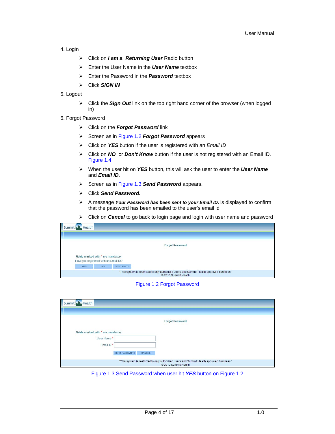- 4. Login
	- ¾ Click on *I am a Returning User* Radio button
	- ¾ Enter the User Name in the *User Name* textbox
	- ¾ Enter the Password in the *Password* textbox
	- ¾ Click *SIGN IN*
- 5. Logout
	- ¾ Click the *Sign Out* link on the top right hand corner of the browser (when logged in)
- 6. Forgot Password
	- ¾ Click on the *Forgot Password* link
	- ¾ Screen as in Figure 1.2 *Forgot Password* appears
	- ¾ Click on *YES* button if the user is registered with an *Email ID*
	- ¾ Click on *NO* or *Don't Know* button if the user is not registered with an Email ID. Figure 1.4
	- ¾ When the user hit on *YES* button, this will ask the user to enter the *User Name* and *Email ID*.
	- ¾ Screen as in Figure 1.3 *Send Password* appears.
	- ¾ Click *Send Password.*
	- ¾ A message *Your Password has been sent to your Email ID.* is displayed to confirm that the password has been emailed to the user's email id
	- ¾ Click on *Cancel* to go back to login page and login with user name and password

| <b>Health</b><br>Summit                                                                                          |           |                   |  |  |  |  |  |
|------------------------------------------------------------------------------------------------------------------|-----------|-------------------|--|--|--|--|--|
|                                                                                                                  |           |                   |  |  |  |  |  |
| <b>Forgot Password</b>                                                                                           |           |                   |  |  |  |  |  |
| Fields marked with * are mandatory<br>Have you registered with an Email ID?                                      |           |                   |  |  |  |  |  |
| <b>YES</b>                                                                                                       | <b>NO</b> | <b>DON'T KNOW</b> |  |  |  |  |  |
| "This system is restricted to only authorized users and Summit Health approved business"<br>© 2010 Summit Health |           |                   |  |  |  |  |  |

Figure 1.2 Forgot Password

| Health<br>Summit -                 |                                                                                                                  |
|------------------------------------|------------------------------------------------------------------------------------------------------------------|
|                                    |                                                                                                                  |
|                                    | <b>Forgot Password</b>                                                                                           |
| Fields marked with * are mandatory |                                                                                                                  |
| User Name*<br>Email ID*            |                                                                                                                  |
|                                    | SEND PASSWORD<br>CANCEL                                                                                          |
|                                    | "This system is restricted to only authorized users and Summit Health approved business"<br>@ 2010 Summit Health |

Figure 1.3 Send Password when user hit *YES* button on Figure 1.2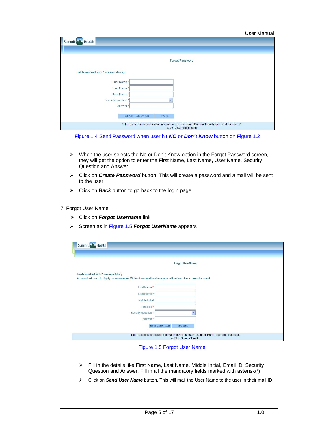| Summit Health                      |                                                                                                                  |
|------------------------------------|------------------------------------------------------------------------------------------------------------------|
|                                    |                                                                                                                  |
|                                    | <b>Forgot Password</b>                                                                                           |
| Fields marked with * are mandatory |                                                                                                                  |
| First Name*                        |                                                                                                                  |
| Last Name*                         |                                                                                                                  |
| User Name*                         |                                                                                                                  |
| Security question *                |                                                                                                                  |
| Answer*                            |                                                                                                                  |
|                                    | CREATE PASSWORD<br><b>BACK</b>                                                                                   |
|                                    | "This system is restricted to only authorized users and Summit Health approved business"<br>@ 2010 Summit Health |

Figure 1.4 Send Password when user hit *NO* or *Don't Know* button on Figure 1.2

- $\triangleright$  When the user selects the No or Don't Know option in the Forgot Password screen, they will get the option to enter the First Name, Last Name, User Name, Security Question and Answer.
- ¾ Click on *Create Password* button. This will create a password and a mail will be sent to the user.
- ¾ Click on *Back* button to go back to the login page.

#### 7. Forgot User Name

- ¾ Click on *Forgot Username* link
- ¾ Screen as in Figure 1.5 *Forgot UserName* appears

| Summit Health                                                                                                                                |                          |  |  |  |
|----------------------------------------------------------------------------------------------------------------------------------------------|--------------------------|--|--|--|
|                                                                                                                                              | <b>Forgot UserName</b>   |  |  |  |
| Fields marked with * are mandatory<br>An email address is highly recommended, Without an email address you will not receive a reminder email |                          |  |  |  |
| First Name*                                                                                                                                  |                          |  |  |  |
| Last Name*                                                                                                                                   |                          |  |  |  |
| Middle Initial                                                                                                                               |                          |  |  |  |
| Email ID*                                                                                                                                    |                          |  |  |  |
| Security question *                                                                                                                          |                          |  |  |  |
| Answer*                                                                                                                                      |                          |  |  |  |
|                                                                                                                                              | SEND USER NAME<br>CANCEL |  |  |  |
| "This system is restricted to only authorized users and Summit Health approved business"<br>@ 2010 Summit Health                             |                          |  |  |  |

#### Figure 1.5 Forgot User Name

- ¾ Fill in the details like First Name, Last Name, Middle Initial, Email ID, Security Question and Answer. Fill in all the mandatory fields marked with asterisk(\*)
- ¾ Click on *Send User Name* button. This will mail the User Name to the user in their mail ID.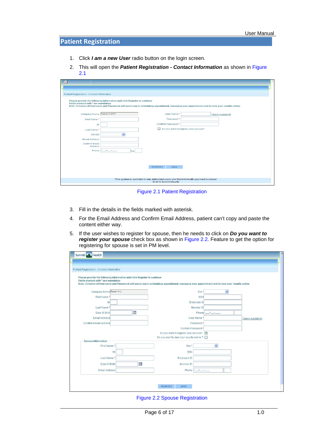## **Patient Registration**

- 1. Click *I am a new User* radio button on the login screen.
- 2. This will open the *Patient Registration Contact Information* as shown in Figure 2.1

| ⊠                                          |                                                                                                                                                                                                                           |  |  |  |  |  |  |  |
|--------------------------------------------|---------------------------------------------------------------------------------------------------------------------------------------------------------------------------------------------------------------------------|--|--|--|--|--|--|--|
|                                            |                                                                                                                                                                                                                           |  |  |  |  |  |  |  |
|                                            |                                                                                                                                                                                                                           |  |  |  |  |  |  |  |
| Patient Registration - Contact Information |                                                                                                                                                                                                                           |  |  |  |  |  |  |  |
| Fields marked with * are mandatory         | Please provide the following information and click Register to continue<br>Note : Creation of Username and Password will assist you in scheduling appointment, managing your appointment and to view your results online. |  |  |  |  |  |  |  |
| Company Name Rajesh CLIENT                 | User Name*<br><b>Check Availability</b>                                                                                                                                                                                   |  |  |  |  |  |  |  |
| First Name*                                | Password *                                                                                                                                                                                                                |  |  |  |  |  |  |  |
| M                                          | Confirm Password*                                                                                                                                                                                                         |  |  |  |  |  |  |  |
| Last Name*                                 | Do you want to register your spouse?<br>$\Box$                                                                                                                                                                            |  |  |  |  |  |  |  |
| Gender                                     | ×.                                                                                                                                                                                                                        |  |  |  |  |  |  |  |
| Email Address                              |                                                                                                                                                                                                                           |  |  |  |  |  |  |  |
| Confirm Email                              |                                                                                                                                                                                                                           |  |  |  |  |  |  |  |
| Address<br>Phone                           |                                                                                                                                                                                                                           |  |  |  |  |  |  |  |
|                                            | Ext                                                                                                                                                                                                                       |  |  |  |  |  |  |  |
|                                            |                                                                                                                                                                                                                           |  |  |  |  |  |  |  |
|                                            |                                                                                                                                                                                                                           |  |  |  |  |  |  |  |
|                                            | <b>REGISTER</b><br><b>BACK</b>                                                                                                                                                                                            |  |  |  |  |  |  |  |
|                                            |                                                                                                                                                                                                                           |  |  |  |  |  |  |  |
|                                            |                                                                                                                                                                                                                           |  |  |  |  |  |  |  |
|                                            | "This system is restricted to only authorized users and Summit Health approved business"<br>2010 Summit Health                                                                                                            |  |  |  |  |  |  |  |
|                                            |                                                                                                                                                                                                                           |  |  |  |  |  |  |  |

Figure 2.1 Patient Registration

- 3. Fill in the details in the fields marked with asterisk.
- 4. For the Email Address and Confirm Email Address, patient can't copy and paste the content either way.
- 5. If the user wishes to register for spouse, then he needs to click on *Do you want to register your spouse* check box as shown in Figure 2.2. Feature to get the option for registering for spouse is set in PM level.

| Patient Registration - Contact Information                                                                                                                                                                                                                      |   |                                           |              |                    |
|-----------------------------------------------------------------------------------------------------------------------------------------------------------------------------------------------------------------------------------------------------------------|---|-------------------------------------------|--------------|--------------------|
| Please provide the following information and click Register to continue<br>Fields marked with * are mandatory<br>Note : Creation of Username and Password will assist you in scheduling appointment, managing your appointment and to view your results online. |   |                                           |              |                    |
| Company Name Rajesh Inc.                                                                                                                                                                                                                                        |   | Sex <sup>*</sup>                          | $\checkmark$ |                    |
| First Name*                                                                                                                                                                                                                                                     |   | SSN                                       |              |                    |
| MI                                                                                                                                                                                                                                                              |   | Employee ID                               |              |                    |
| Last Name*                                                                                                                                                                                                                                                      |   | Member ID                                 |              |                    |
| m<br>Date Of Birth                                                                                                                                                                                                                                              |   | $\rightarrow$<br>Phone <sup>(</sup>       |              |                    |
| Email Address                                                                                                                                                                                                                                                   |   | User Name*                                |              | Check Availability |
| Confirm Email Address                                                                                                                                                                                                                                           |   | Password*                                 |              |                    |
|                                                                                                                                                                                                                                                                 |   | Confirm Password*                         |              |                    |
|                                                                                                                                                                                                                                                                 |   | Do you want to register your spouse?      |              |                    |
| <b>Spouse Information</b>                                                                                                                                                                                                                                       |   | Do you want to view your results online ? |              |                    |
| First Name*                                                                                                                                                                                                                                                     |   | Sex <sup>*</sup>                          | $\checkmark$ |                    |
| M                                                                                                                                                                                                                                                               |   | SSN                                       |              |                    |
|                                                                                                                                                                                                                                                                 |   |                                           |              |                    |
| Last Name*                                                                                                                                                                                                                                                      |   | Employee ID                               |              |                    |
| Date Of Birth                                                                                                                                                                                                                                                   | m | Member ID                                 |              |                    |
| Email Address                                                                                                                                                                                                                                                   |   | Phone (<br>$\rightarrow$                  |              |                    |

Figure 2.2 Spouse Registration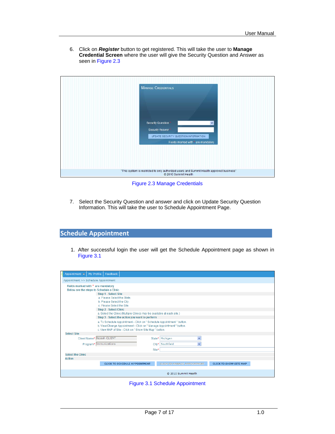6. Click on *Register* button to get registered. This will take the user to **Manage Credential Screen** where the user will give the Security Question and Answer as seen in Figure 2.3

| <b>MANAGE CREDENTIALS</b>                                                                                        |
|------------------------------------------------------------------------------------------------------------------|
| <b>Security Question</b><br>$\ddotmark$<br>Security Answer <sup>*</sup><br>UPDATE SECURITY QUESTION INFORMATION  |
| Fields marked with * are mandatory                                                                               |
|                                                                                                                  |
| "This system is restricted to only authorized users and Summit Health approved business"<br>@ 2010 Summit Health |

Figure 2.3 Manage Credentials

7. Select the Security Question and answer and click on Update Security Question Information. This will take the user to Schedule Appointment Page.

## **Schedule Appointment**

1. After successful login the user will get the Schedule Appointment page as shown in Figure 3.1

| Appointment $\blacktriangledown$<br>My Profile<br>Feedback             |       |                                    |                               |  |  |  |  |
|------------------------------------------------------------------------|-------|------------------------------------|-------------------------------|--|--|--|--|
| Appointment >> Schedule Appointment                                    |       |                                    |                               |  |  |  |  |
| Fields marked with * are mandatory                                     |       |                                    |                               |  |  |  |  |
| Below are the steps to Schedule a Clinic                               |       |                                    |                               |  |  |  |  |
| Step 1 - Select Site                                                   |       |                                    |                               |  |  |  |  |
| a. Please Select the State.                                            |       |                                    |                               |  |  |  |  |
| b. Please Select the City.                                             |       |                                    |                               |  |  |  |  |
| c. Please Select the Site                                              |       |                                    |                               |  |  |  |  |
| <b>Step 2 - Select Clinic</b>                                          |       |                                    |                               |  |  |  |  |
| a. Select the Clinic (Multiple Clinics may be available at each site.) |       |                                    |                               |  |  |  |  |
| Step 3 - Select the action you want to perform                         |       |                                    |                               |  |  |  |  |
| a. To Schedule Appointment - Click on " Schedule Appointment " button. |       |                                    |                               |  |  |  |  |
| b. View/Change Appointment - Click on " Manage Appointment " button.   |       |                                    |                               |  |  |  |  |
| c. View MAP of Site - Click on " Show Site Map " button.               |       |                                    |                               |  |  |  |  |
| <b>Select Site</b>                                                     |       |                                    |                               |  |  |  |  |
| Client Name* Rajesh CLIENT                                             |       | Y<br>State* Michigan               |                               |  |  |  |  |
| Program* Immunizations                                                 |       | City* Southfield<br>×              |                               |  |  |  |  |
|                                                                        | Site* |                                    |                               |  |  |  |  |
| <b>Select the Clinic</b>                                               |       |                                    |                               |  |  |  |  |
| <b>Action</b>                                                          |       |                                    |                               |  |  |  |  |
| <b>CLICK TO SCHEDULE APPOINTMENT</b>                                   |       | <b>CLICK TO MANAGE APPOINTMENT</b> | <b>CLICK TO SHOW SITE MAP</b> |  |  |  |  |
|                                                                        |       |                                    |                               |  |  |  |  |
| © 2010 Summit Health                                                   |       |                                    |                               |  |  |  |  |

Figure 3.1 Schedule Appointment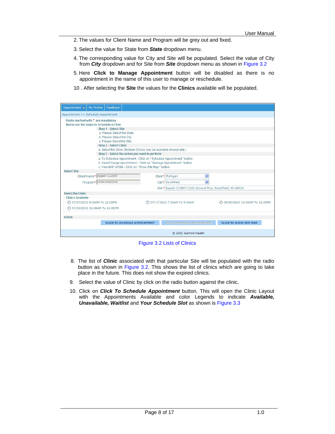- 2. The values for Client Name and Program will be grey out and fixed.
- 3. Select the value for State from *State* dropdown menu.
- 4. The corresponding value for City and Site will be populated. Select the value of City from *City* dropdown and for Site from *Site* dropdown menu as shown in Figure 3.2
- 5. Here **Click to Manage Appointment** button will be disabled as there is no appointment in the name of this user to manage or reschedule.
- 10 . After selecting the **Site** the values for the **Clinics** available will be populated.

| My Profile<br>Feedback<br>Appointment $\blacktriangledown$                                                                                                                                                                                                                                                                                            |                                                                                                                                                                                                           |                                                            |                                 |  |  |  |  |
|-------------------------------------------------------------------------------------------------------------------------------------------------------------------------------------------------------------------------------------------------------------------------------------------------------------------------------------------------------|-----------------------------------------------------------------------------------------------------------------------------------------------------------------------------------------------------------|------------------------------------------------------------|---------------------------------|--|--|--|--|
| Appointment >> Schedule Appointment                                                                                                                                                                                                                                                                                                                   |                                                                                                                                                                                                           |                                                            |                                 |  |  |  |  |
| Fields marked with * are mandatory<br>Below are the steps to Schedule a Clinic<br>Step 1 - Select Site<br>a Please Select the State.<br>b. Please Select the City.<br>c. Please Select the Site<br>Step 2 - Select Clinic<br>a. Select the Clinic (Multiple Clinics may be available at each site.)<br>Step 3 - Select the action you want to perform |                                                                                                                                                                                                           |                                                            |                                 |  |  |  |  |
| <b>Select Site</b>                                                                                                                                                                                                                                                                                                                                    | a. To Schedule Appointment - Click on "Schedule Appointment " button.<br>b. View/Change Appointment - Click on " Manage Appointment " button.<br>c. View MAP of Site - Click on " Show Site Map " button. |                                                            |                                 |  |  |  |  |
| Client Name* Rajesh CLIENT                                                                                                                                                                                                                                                                                                                            |                                                                                                                                                                                                           | State* Michigan<br>$\checkmark$                            |                                 |  |  |  |  |
| Program* Immunizations                                                                                                                                                                                                                                                                                                                                |                                                                                                                                                                                                           | City* Southfield<br>$\checkmark$                           |                                 |  |  |  |  |
|                                                                                                                                                                                                                                                                                                                                                       |                                                                                                                                                                                                           | Site* Rajesh CLIENT-3162 Ground Floor Southfield, MI-48034 |                                 |  |  |  |  |
| <b>Select the Clinic</b><br><b>Clinics Available</b>                                                                                                                                                                                                                                                                                                  |                                                                                                                                                                                                           |                                                            |                                 |  |  |  |  |
| ◯ 07/07/2010 9:00AM To 12:00PM                                                                                                                                                                                                                                                                                                                        |                                                                                                                                                                                                           | ◯ 07/17/2010 7:00AM To 9:00AM                              | ○ 06/30/2010 10:00AM To 12:00PM |  |  |  |  |
| ◯ 07/30/2010 10:00AM To 12:00PM                                                                                                                                                                                                                                                                                                                       |                                                                                                                                                                                                           |                                                            |                                 |  |  |  |  |
| Action                                                                                                                                                                                                                                                                                                                                                |                                                                                                                                                                                                           |                                                            |                                 |  |  |  |  |
| <b>CLICK TO SCHEDULE APPOINTMENT</b>                                                                                                                                                                                                                                                                                                                  |                                                                                                                                                                                                           | <b>GLICK TO MANAGE APPOINTMENT</b>                         | <b>CLICK TO SHOW SITE MAP</b>   |  |  |  |  |
|                                                                                                                                                                                                                                                                                                                                                       |                                                                                                                                                                                                           | © 2010 Summit Health                                       |                                 |  |  |  |  |

Figure 3.2 Lists of Clinics

- 8. The list of *Clinic* associated with that particular Site will be populated with the radio button as shown in Figure 3.2. This shows the list of clinics which are going to take place in the future. This does not show the expired clinics.
- 9. Select the value of Clinic by click on the radio button against the clinic.
- 10. Click on *Click To Schedule Appointment* button. This will open the Clinic Layout with the Appointments Available and color Legends to indicate *Available, Unavailable, Waitlist* and *Your Schedule Slot* as shown is Figure 3.3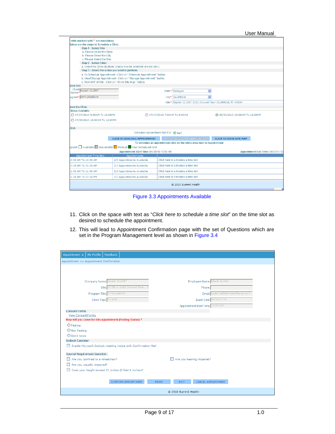| 3elow are the steps to Schedule a Clinic<br>Step 1 - Select Site<br>a. Please Select the State.<br>b. Please Select the City.<br>c. Please Select the Site.<br><b>Step 2 - Select Clinic</b><br>a. Select the Clinic (Multiple Clinics may be available at each site.)<br>Step 3 - Select the action you want to perform<br>a. To Schedule Appointment - Click on " Schedule Appointment " button.<br>b. View/Change Appointment - Click on " Manage Appointment " button.<br>c. View MAP of Site - Click on " Show Site Map " button.<br><b>Ject Site</b><br>Client Rajesh CLIENT<br>State* Michigan<br>$\checkmark$<br>Name*<br>City* Southfield<br>$\checkmark$<br>Site* Rajesh CLIENT-3162 Ground Floor Southfield, MI-48034<br>◯ 07/07/2010 9:00AM To 12:00PM<br>⊙ 06/30/2010 10:00AM To 12:00PM<br>◯ 07/17/2010 7:00AM To 9:00AM<br>◯ 07/30/2010 10:00AM To 12:00PM<br>Schedule Appointment Slot For: (a) self<br><b>CLICK TO SCHEDULE APPOINTMENT</b><br><b>CLICK TO MANAGE APPOINTMENT</b><br><b>CLICK TO SHOW SITE MAP</b><br>To schedule an appointment click on the white area next to Appointment<br>end: Available Unavailable WaitList Your Scheduled Slot<br>Appointment Start Time: 06/30/10 10:00 AM<br>Appointment End Time: 06/30/10 12<br>Appointment Time Slot<br>Appointments<br>Click here to schedule a time slot<br>2/3 Appointments Available<br>Click here to schedule a time slot<br>3/3 Appointments Available<br>3/3 Appointments Available<br>Click here to schedule a time slot<br>Click here to schedule a time slot<br>2/3 Appointments Available<br>1:30 AM To 12:00 PM<br>© 2010 Summit Health | ields marked with * are mandatory |  |  |  |  |  |  |  |  |  |
|------------------------------------------------------------------------------------------------------------------------------------------------------------------------------------------------------------------------------------------------------------------------------------------------------------------------------------------------------------------------------------------------------------------------------------------------------------------------------------------------------------------------------------------------------------------------------------------------------------------------------------------------------------------------------------------------------------------------------------------------------------------------------------------------------------------------------------------------------------------------------------------------------------------------------------------------------------------------------------------------------------------------------------------------------------------------------------------------------------------------------------------------------------------------------------------------------------------------------------------------------------------------------------------------------------------------------------------------------------------------------------------------------------------------------------------------------------------------------------------------------------------------------------------------------------------------------------------------------------------------------------|-----------------------------------|--|--|--|--|--|--|--|--|--|
|                                                                                                                                                                                                                                                                                                                                                                                                                                                                                                                                                                                                                                                                                                                                                                                                                                                                                                                                                                                                                                                                                                                                                                                                                                                                                                                                                                                                                                                                                                                                                                                                                                    |                                   |  |  |  |  |  |  |  |  |  |
|                                                                                                                                                                                                                                                                                                                                                                                                                                                                                                                                                                                                                                                                                                                                                                                                                                                                                                                                                                                                                                                                                                                                                                                                                                                                                                                                                                                                                                                                                                                                                                                                                                    |                                   |  |  |  |  |  |  |  |  |  |
|                                                                                                                                                                                                                                                                                                                                                                                                                                                                                                                                                                                                                                                                                                                                                                                                                                                                                                                                                                                                                                                                                                                                                                                                                                                                                                                                                                                                                                                                                                                                                                                                                                    |                                   |  |  |  |  |  |  |  |  |  |
|                                                                                                                                                                                                                                                                                                                                                                                                                                                                                                                                                                                                                                                                                                                                                                                                                                                                                                                                                                                                                                                                                                                                                                                                                                                                                                                                                                                                                                                                                                                                                                                                                                    |                                   |  |  |  |  |  |  |  |  |  |
|                                                                                                                                                                                                                                                                                                                                                                                                                                                                                                                                                                                                                                                                                                                                                                                                                                                                                                                                                                                                                                                                                                                                                                                                                                                                                                                                                                                                                                                                                                                                                                                                                                    |                                   |  |  |  |  |  |  |  |  |  |
|                                                                                                                                                                                                                                                                                                                                                                                                                                                                                                                                                                                                                                                                                                                                                                                                                                                                                                                                                                                                                                                                                                                                                                                                                                                                                                                                                                                                                                                                                                                                                                                                                                    |                                   |  |  |  |  |  |  |  |  |  |
|                                                                                                                                                                                                                                                                                                                                                                                                                                                                                                                                                                                                                                                                                                                                                                                                                                                                                                                                                                                                                                                                                                                                                                                                                                                                                                                                                                                                                                                                                                                                                                                                                                    |                                   |  |  |  |  |  |  |  |  |  |
|                                                                                                                                                                                                                                                                                                                                                                                                                                                                                                                                                                                                                                                                                                                                                                                                                                                                                                                                                                                                                                                                                                                                                                                                                                                                                                                                                                                                                                                                                                                                                                                                                                    |                                   |  |  |  |  |  |  |  |  |  |
|                                                                                                                                                                                                                                                                                                                                                                                                                                                                                                                                                                                                                                                                                                                                                                                                                                                                                                                                                                                                                                                                                                                                                                                                                                                                                                                                                                                                                                                                                                                                                                                                                                    |                                   |  |  |  |  |  |  |  |  |  |
|                                                                                                                                                                                                                                                                                                                                                                                                                                                                                                                                                                                                                                                                                                                                                                                                                                                                                                                                                                                                                                                                                                                                                                                                                                                                                                                                                                                                                                                                                                                                                                                                                                    |                                   |  |  |  |  |  |  |  |  |  |
|                                                                                                                                                                                                                                                                                                                                                                                                                                                                                                                                                                                                                                                                                                                                                                                                                                                                                                                                                                                                                                                                                                                                                                                                                                                                                                                                                                                                                                                                                                                                                                                                                                    |                                   |  |  |  |  |  |  |  |  |  |
|                                                                                                                                                                                                                                                                                                                                                                                                                                                                                                                                                                                                                                                                                                                                                                                                                                                                                                                                                                                                                                                                                                                                                                                                                                                                                                                                                                                                                                                                                                                                                                                                                                    |                                   |  |  |  |  |  |  |  |  |  |
|                                                                                                                                                                                                                                                                                                                                                                                                                                                                                                                                                                                                                                                                                                                                                                                                                                                                                                                                                                                                                                                                                                                                                                                                                                                                                                                                                                                                                                                                                                                                                                                                                                    | ogram* Immunizations              |  |  |  |  |  |  |  |  |  |
|                                                                                                                                                                                                                                                                                                                                                                                                                                                                                                                                                                                                                                                                                                                                                                                                                                                                                                                                                                                                                                                                                                                                                                                                                                                                                                                                                                                                                                                                                                                                                                                                                                    |                                   |  |  |  |  |  |  |  |  |  |
|                                                                                                                                                                                                                                                                                                                                                                                                                                                                                                                                                                                                                                                                                                                                                                                                                                                                                                                                                                                                                                                                                                                                                                                                                                                                                                                                                                                                                                                                                                                                                                                                                                    | <b>Hect the Clinic</b>            |  |  |  |  |  |  |  |  |  |
|                                                                                                                                                                                                                                                                                                                                                                                                                                                                                                                                                                                                                                                                                                                                                                                                                                                                                                                                                                                                                                                                                                                                                                                                                                                                                                                                                                                                                                                                                                                                                                                                                                    | <b>Clinics Available</b>          |  |  |  |  |  |  |  |  |  |
|                                                                                                                                                                                                                                                                                                                                                                                                                                                                                                                                                                                                                                                                                                                                                                                                                                                                                                                                                                                                                                                                                                                                                                                                                                                                                                                                                                                                                                                                                                                                                                                                                                    |                                   |  |  |  |  |  |  |  |  |  |
|                                                                                                                                                                                                                                                                                                                                                                                                                                                                                                                                                                                                                                                                                                                                                                                                                                                                                                                                                                                                                                                                                                                                                                                                                                                                                                                                                                                                                                                                                                                                                                                                                                    |                                   |  |  |  |  |  |  |  |  |  |
|                                                                                                                                                                                                                                                                                                                                                                                                                                                                                                                                                                                                                                                                                                                                                                                                                                                                                                                                                                                                                                                                                                                                                                                                                                                                                                                                                                                                                                                                                                                                                                                                                                    | tion:                             |  |  |  |  |  |  |  |  |  |
|                                                                                                                                                                                                                                                                                                                                                                                                                                                                                                                                                                                                                                                                                                                                                                                                                                                                                                                                                                                                                                                                                                                                                                                                                                                                                                                                                                                                                                                                                                                                                                                                                                    |                                   |  |  |  |  |  |  |  |  |  |
|                                                                                                                                                                                                                                                                                                                                                                                                                                                                                                                                                                                                                                                                                                                                                                                                                                                                                                                                                                                                                                                                                                                                                                                                                                                                                                                                                                                                                                                                                                                                                                                                                                    |                                   |  |  |  |  |  |  |  |  |  |
|                                                                                                                                                                                                                                                                                                                                                                                                                                                                                                                                                                                                                                                                                                                                                                                                                                                                                                                                                                                                                                                                                                                                                                                                                                                                                                                                                                                                                                                                                                                                                                                                                                    |                                   |  |  |  |  |  |  |  |  |  |
|                                                                                                                                                                                                                                                                                                                                                                                                                                                                                                                                                                                                                                                                                                                                                                                                                                                                                                                                                                                                                                                                                                                                                                                                                                                                                                                                                                                                                                                                                                                                                                                                                                    |                                   |  |  |  |  |  |  |  |  |  |
|                                                                                                                                                                                                                                                                                                                                                                                                                                                                                                                                                                                                                                                                                                                                                                                                                                                                                                                                                                                                                                                                                                                                                                                                                                                                                                                                                                                                                                                                                                                                                                                                                                    |                                   |  |  |  |  |  |  |  |  |  |
|                                                                                                                                                                                                                                                                                                                                                                                                                                                                                                                                                                                                                                                                                                                                                                                                                                                                                                                                                                                                                                                                                                                                                                                                                                                                                                                                                                                                                                                                                                                                                                                                                                    |                                   |  |  |  |  |  |  |  |  |  |
|                                                                                                                                                                                                                                                                                                                                                                                                                                                                                                                                                                                                                                                                                                                                                                                                                                                                                                                                                                                                                                                                                                                                                                                                                                                                                                                                                                                                                                                                                                                                                                                                                                    | 0:00 AM To 10:30 AM               |  |  |  |  |  |  |  |  |  |
|                                                                                                                                                                                                                                                                                                                                                                                                                                                                                                                                                                                                                                                                                                                                                                                                                                                                                                                                                                                                                                                                                                                                                                                                                                                                                                                                                                                                                                                                                                                                                                                                                                    | 0:30 AM To 11:00 AM               |  |  |  |  |  |  |  |  |  |
|                                                                                                                                                                                                                                                                                                                                                                                                                                                                                                                                                                                                                                                                                                                                                                                                                                                                                                                                                                                                                                                                                                                                                                                                                                                                                                                                                                                                                                                                                                                                                                                                                                    | 1:00 AM To 11:30 AM               |  |  |  |  |  |  |  |  |  |
|                                                                                                                                                                                                                                                                                                                                                                                                                                                                                                                                                                                                                                                                                                                                                                                                                                                                                                                                                                                                                                                                                                                                                                                                                                                                                                                                                                                                                                                                                                                                                                                                                                    |                                   |  |  |  |  |  |  |  |  |  |
|                                                                                                                                                                                                                                                                                                                                                                                                                                                                                                                                                                                                                                                                                                                                                                                                                                                                                                                                                                                                                                                                                                                                                                                                                                                                                                                                                                                                                                                                                                                                                                                                                                    |                                   |  |  |  |  |  |  |  |  |  |

Figure 3.3 Appointments Available

- 11. Click on the space with text as "*Click here to schedule a time slot*" on the time slot as desired to schedule the appointment.
- 12. This will lead to Appointment Confirmation page with the set of Questions which are set in the Program Management level as shown in Figure 3.4

| Feedback<br>My Profile<br>Appointment $\blacktriangledown$     |                                   |  |  |  |  |  |  |  |  |
|----------------------------------------------------------------|-----------------------------------|--|--|--|--|--|--|--|--|
| Appointment >> Appointment Confirmation                        |                                   |  |  |  |  |  |  |  |  |
|                                                                |                                   |  |  |  |  |  |  |  |  |
|                                                                |                                   |  |  |  |  |  |  |  |  |
| Company Name Rajesh CLIENT                                     | Employee Name Ritwik Kumar        |  |  |  |  |  |  |  |  |
| 010511-3162 Ground Floor, S<br>Site                            | Phone                             |  |  |  |  |  |  |  |  |
| Program Title Immunization                                     | Email rajesh.s@technosoftcorp.com |  |  |  |  |  |  |  |  |
| Event Date 06/30/2010<br>Clinic Type Flu shot                  |                                   |  |  |  |  |  |  |  |  |
| Appointment Start Time 10:00 AM                                |                                   |  |  |  |  |  |  |  |  |
| <b>Consent Forms</b>                                           |                                   |  |  |  |  |  |  |  |  |
| <b>View Consent Forms</b>                                      |                                   |  |  |  |  |  |  |  |  |
| How will you come for this appointment (Fasting Status) ?      |                                   |  |  |  |  |  |  |  |  |
| $O$ Fasting                                                    |                                   |  |  |  |  |  |  |  |  |
| O Non Fasting                                                  |                                   |  |  |  |  |  |  |  |  |
| O Don't know                                                   |                                   |  |  |  |  |  |  |  |  |
| <b>Outlook Calendar</b>                                        |                                   |  |  |  |  |  |  |  |  |
| Enable Microsoft Outlook meeting notice with Confirmation Mail |                                   |  |  |  |  |  |  |  |  |
| <b>Special Requirement Question:</b>                           |                                   |  |  |  |  |  |  |  |  |
| Are you confined to a wheelchair?                              | Are you hearing impaired?         |  |  |  |  |  |  |  |  |
| Are you visually impaired?                                     |                                   |  |  |  |  |  |  |  |  |
| Does your height exceed 81 inches (6 feet 9 inches)?           |                                   |  |  |  |  |  |  |  |  |
|                                                                |                                   |  |  |  |  |  |  |  |  |
| CONFIRM APPOINTMENT<br><b>PRINT</b>                            | <b>EXIT</b><br>CANCEL APPOINTMENT |  |  |  |  |  |  |  |  |
|                                                                | © 2010 Summit Health              |  |  |  |  |  |  |  |  |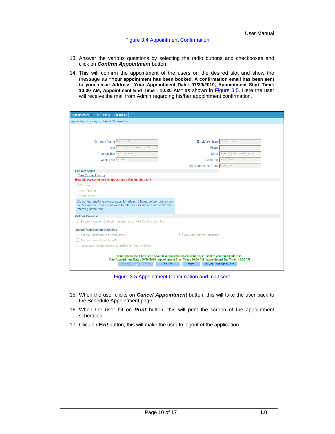#### Figure 3.4 Appointment Confirmation

- 13. Answer the various questions by selecting the radio buttons and checkboxes and click on *Confirm Appointment* button.
- 14. This will confirm the appointment of the users on the desired slot and show the message as *"***Your appointment has been booked. A confirmation email has been sent to your email Address. Your Appointment Date: 07/30/2010, Appointment Start Time: 10:00 AM, Appointment End Time : 10:30 AM"** as shown in Figure 3.5. Here the user will receive the mail from Admin regarding his/her appointment confirmation.

| My Profile<br>Feedback<br>Appointment $\overline{\mathbf{v}}$                                                                                                            |                                                                                                                                                                                                    |
|--------------------------------------------------------------------------------------------------------------------------------------------------------------------------|----------------------------------------------------------------------------------------------------------------------------------------------------------------------------------------------------|
| Appointment >> Appointment Confirmation                                                                                                                                  |                                                                                                                                                                                                    |
|                                                                                                                                                                          |                                                                                                                                                                                                    |
|                                                                                                                                                                          |                                                                                                                                                                                                    |
| Company Name Rajesh CLIENT                                                                                                                                               | Employee Name Ritwik Kumar                                                                                                                                                                         |
| Site L010511-3162 Ground Floor, S                                                                                                                                        | Phone                                                                                                                                                                                              |
| Program Title Immunization                                                                                                                                               | Email rajesh.s@technosoftcorp.com                                                                                                                                                                  |
|                                                                                                                                                                          |                                                                                                                                                                                                    |
| Clinic Type Flu shot                                                                                                                                                     | Event Date 06/30/2010                                                                                                                                                                              |
|                                                                                                                                                                          | Appointment Start Time 10:00 AM                                                                                                                                                                    |
| <b>Consent Forms</b><br><b>View Consent Forms</b>                                                                                                                        |                                                                                                                                                                                                    |
| How will you come for this appointment (Fasting Status) ?                                                                                                                |                                                                                                                                                                                                    |
| <b><i>O</i></b> Fasting                                                                                                                                                  |                                                                                                                                                                                                    |
| O Non Fasting                                                                                                                                                            |                                                                                                                                                                                                    |
| O Don't know                                                                                                                                                             |                                                                                                                                                                                                    |
| Do not eat anything except water for atleast 9 hours before having your<br>screening test. You are allowed to take your medicines with water the<br>morning of the test. |                                                                                                                                                                                                    |
| <b>Outlook Calendar</b>                                                                                                                                                  |                                                                                                                                                                                                    |
| Enable Microsoft Outlook meeting notice with Confirmation Mail                                                                                                           |                                                                                                                                                                                                    |
| <b>Special Requirement Question:</b>                                                                                                                                     |                                                                                                                                                                                                    |
| $\vee$ Are you confined to a wheelchair?                                                                                                                                 | Are you hearing impaired?                                                                                                                                                                          |
| Are you visually impaired?                                                                                                                                               |                                                                                                                                                                                                    |
| Does your height exceed 81 inches (6 feet 9 inches)?                                                                                                                     |                                                                                                                                                                                                    |
|                                                                                                                                                                          | Your appointment has been booked. A confirmation email has been sent to your email address.<br>Your Appointment Date: 06/30/2010, Appointment Start Time: 10:00 AM, Appointment End Time: 10:30 AM |
| <b>CONFIRM APPOINTMENT</b><br><b>PRINT</b>                                                                                                                               | CANCEL APPOINTMENT<br><b>EXIT</b>                                                                                                                                                                  |
|                                                                                                                                                                          |                                                                                                                                                                                                    |

Figure 3.5 Appointment Confirmation and mail sent

- 15. When the user clicks on *Cancel Appointment* button, this will take the user back to the Schedule Appointment page.
- 16. When the user hit on *Print* button, this will print the screen of the appointment scheduled.
- 17. Click on *Exit* button, this will make the user to logout of the application.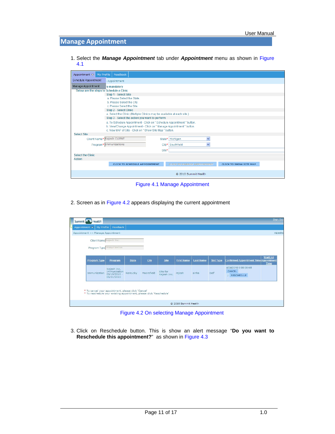## **Manage Appointment**

1. Select the *Manage Appointment* tab under *Appointment* menu as shown in Figure 4.1

| My Profile<br>Appointment $\bigtriangledown$ | Feedback                                                                                                    |  |  |  |  |  |
|----------------------------------------------|-------------------------------------------------------------------------------------------------------------|--|--|--|--|--|
| <b>Schedule Appointment</b>                  | Appointment                                                                                                 |  |  |  |  |  |
| Manage Appointment                           | re mandatory                                                                                                |  |  |  |  |  |
| Below are the steps to Schedule a Clinic     |                                                                                                             |  |  |  |  |  |
|                                              | Step 1 - Select Site                                                                                        |  |  |  |  |  |
|                                              | a. Please Select the State.                                                                                 |  |  |  |  |  |
| b. Please Select the City.                   |                                                                                                             |  |  |  |  |  |
| c. Please Select the Site.                   |                                                                                                             |  |  |  |  |  |
| <b>Step 2 - Select Clinic</b>                |                                                                                                             |  |  |  |  |  |
|                                              | a. Select the Clinic (Multiple Clinics may be available at each site.)                                      |  |  |  |  |  |
|                                              | Step 3 - Select the action you want to perform                                                              |  |  |  |  |  |
|                                              | a. To Schedule Appointment - Click on "Schedule Appointment " button.                                       |  |  |  |  |  |
|                                              | b. View/Change Appointment - Click on " Manage Appointment " button.                                        |  |  |  |  |  |
|                                              | c. View MAP of Site - Click on " Show Site Map " button.                                                    |  |  |  |  |  |
| <b>Select Site</b>                           |                                                                                                             |  |  |  |  |  |
| Client Name* Rajesh CLIENT                   | v<br>Michigan<br>State*                                                                                     |  |  |  |  |  |
|                                              | Program* Immunizations<br>Southfield<br>$\checkmark$<br>City*                                               |  |  |  |  |  |
|                                              | Site*                                                                                                       |  |  |  |  |  |
| <b>Select the Clinic</b>                     |                                                                                                             |  |  |  |  |  |
| <b>Action</b>                                |                                                                                                             |  |  |  |  |  |
|                                              | <b>CLICK TO SCHEDULE APPOINTMENT</b><br><b>CLICK TO MANAGE APPOINTMENT</b><br><b>CLICK TO SHOW SITE MAP</b> |  |  |  |  |  |
|                                              | C 2010 Summit Health                                                                                        |  |  |  |  |  |

Figure 4.1 Manage Appointment

2. Screen as in Figure 4.2 appears displaying the current appointment

| Summit -    | Health              |                                                                                                                             |              |            |                         |                      |                  |                  |                                                     | Sign Out                |
|-------------|---------------------|-----------------------------------------------------------------------------------------------------------------------------|--------------|------------|-------------------------|----------------------|------------------|------------------|-----------------------------------------------------|-------------------------|
| Appointment | My Profile          | Feedback                                                                                                                    |              |            |                         |                      |                  |                  |                                                     |                         |
|             |                     | Appointment >> Manage Appointment                                                                                           |              |            |                         |                      |                  |                  |                                                     | rajeshs                 |
|             |                     | Client Name Rajesh Inc.                                                                                                     |              |            |                         |                      |                  |                  |                                                     |                         |
|             |                     | Program Type Immunization                                                                                                   |              |            |                         |                      |                  |                  |                                                     |                         |
|             |                     |                                                                                                                             |              |            |                         |                      |                  |                  |                                                     |                         |
|             | <b>Program Type</b> | Program                                                                                                                     | <b>State</b> | City       | Site                    | <b>First Name</b>    | <b>Last Name</b> | <b>Slot Type</b> | <b>Confirmed Appointment Time Appointment</b>       | WaitList<br><b>Time</b> |
|             | Immunization        | Rajesh Inc.<br>Immunization<br>$03/19/2010 -$<br>05/31/2010                                                                 | Kentucky     | Moorefield | Site for<br>Rajesh Inc. | rajesh               | sinha            | Self             | 4/24/2010 9:00:00 AM<br>CANCEL<br><b>RESCHEDULE</b> |                         |
|             |                     | * To cancel your appointment, please click 'Cancel'<br>* To reschedule your existing appointment, please click 'Reschedule' |              |            |                         |                      |                  |                  |                                                     |                         |
|             |                     |                                                                                                                             |              |            |                         | @ 2010 Summit Health |                  |                  |                                                     |                         |

Figure 4.2 On selecting Manage Appointment

3. Click on Reschedule button. This is show an alert message "**Do you want to Reschedule this appointment?**" as shown in Figure 4.3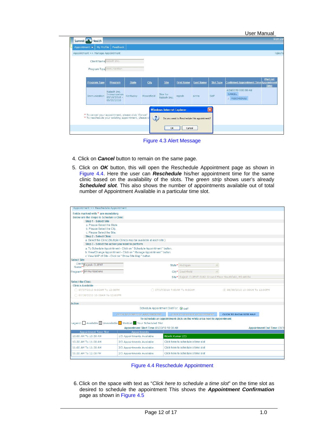| Appointment >> Manage Appointment | Client Name Rajesh Inc.                                     |              |            |                                  |                   |                  |                  |                                                                                 |
|-----------------------------------|-------------------------------------------------------------|--------------|------------|----------------------------------|-------------------|------------------|------------------|---------------------------------------------------------------------------------|
|                                   | Program Type Immunization                                   |              |            |                                  |                   |                  |                  |                                                                                 |
|                                   |                                                             |              |            |                                  |                   |                  |                  |                                                                                 |
| Program Type                      | Program                                                     | <b>State</b> | City       | <b>Site</b>                      | <b>First Name</b> | <b>Last Name</b> | <b>Slot Type</b> | <b>WaitList</b><br><b>Confirmed Appointment Time Appointment</b><br><b>Time</b> |
| Immunization                      | Rajesh Inc.<br>Immunization<br>$03/19/2010 -$<br>05/31/2010 | Kentucky     | Moorefield | Site for<br>Rajesh Inc.          | rajesh            | sinha            | Self             | 4/24/2010 9:00:00 AM<br>CANCEL<br><b>RESCHEDULE</b>                             |
|                                   |                                                             |              |            | <b>Windows Internet Explorer</b> |                   |                  | $\vert x \vert$  |                                                                                 |

Figure 4.3 Alert Message

- 4. Click on *Cancel* button to remain on the same page.
- 5. Click on *OK* button, this will open the Reschedule Appointment page as shown in Figure 4.4. Here the user can *Reschedule* his/her appointment time for the same clinic based on the availability of the slots. The *green strip* shows user's already *Scheduled slot*. This also shows the number of appointments available out of total number of Appointment Available in a particular time slot.

| Appointment >> Reschedule Appointment               |                                                                        |                  |                                                                        |                                    |
|-----------------------------------------------------|------------------------------------------------------------------------|------------------|------------------------------------------------------------------------|------------------------------------|
| Fields marked with * are mandatory                  |                                                                        |                  |                                                                        |                                    |
| Below are the steps to Schedule a Clinic            |                                                                        |                  |                                                                        |                                    |
| Step 1 - Select Site<br>a. Please Select the State. |                                                                        |                  |                                                                        |                                    |
| b. Please Select the City.                          |                                                                        |                  |                                                                        |                                    |
| c. Please Select the Site.                          |                                                                        |                  |                                                                        |                                    |
| <b>Step 2 - Select Clinic</b>                       |                                                                        |                  |                                                                        |                                    |
|                                                     | a. Select the Clinic (Multiple Clinics may be available at each site.) |                  |                                                                        |                                    |
| Step 3 - Select the action you want to perform      |                                                                        |                  |                                                                        |                                    |
|                                                     | a. To Schedule Appointment - Click on " Schedule Appointment " button. |                  |                                                                        |                                    |
|                                                     | b. View/Change Appointment - Click on " Manage Appointment " button.   |                  |                                                                        |                                    |
|                                                     | c. View MAP of Site - Click on " Show Site Map " button.               |                  |                                                                        |                                    |
| <b>Select Site</b>                                  |                                                                        |                  |                                                                        |                                    |
| Client<br>Name* Rajesh CLIENT                       |                                                                        |                  | State* Michigan                                                        | $\checkmark$                       |
| Program* Immunizations                              |                                                                        |                  | City <sup>*</sup> Southfield                                           |                                    |
|                                                     |                                                                        |                  | Site* Rajesh CLIENT-3162 Ground Floor Southfield, MI-48034             |                                    |
| <b>Select the Clinic</b>                            |                                                                        |                  |                                                                        |                                    |
| <b>Clinics Available</b>                            |                                                                        |                  |                                                                        |                                    |
| ○ 07/07/2010 9:00AM To 12:00PM                      |                                                                        |                  | ○ 07/17/2010 7:00AM To 9:00AM                                          | © 06/30/2010 10:00AM To 12:00PM    |
| ○ 07/30/2010 10:00AM To 12:00PM                     |                                                                        |                  |                                                                        |                                    |
| <b>Action</b>                                       |                                                                        |                  |                                                                        |                                    |
|                                                     | Schedule Appointment Slot For: 3 self                                  |                  |                                                                        |                                    |
|                                                     | <b>CLICK TO SCHEDULE APPOINTMENT</b>                                   |                  | <b>CLICK TO MANAGE APPOINTMENT</b>                                     | <b>CLICK TO SHOW SITE MAP</b>      |
|                                                     |                                                                        |                  | To schedule an appointment click on the white area next to Appointment |                                    |
|                                                     | Legend: Available Unavailable WaitList Your Scheduled Slot             |                  |                                                                        |                                    |
|                                                     | Appointment Start Time: 06/30/10 10:00 AM                              |                  |                                                                        | <b>Appointment End Time: 06/30</b> |
| Appointment Time Slot                               | Appointments                                                           |                  |                                                                        |                                    |
| 10:00 AM To 10:30 AM                                | 1/3 Appointments Available                                             | Ritwik Kumar (C) |                                                                        |                                    |
| 10:30 AM To 11:00 AM                                | 3/3 Appointments Available                                             |                  | Click here to schedule a time slot                                     |                                    |
| 11:00 AM To 11:30 AM                                | 3/3 Appointments Available                                             |                  | Click here to schedule a time slot                                     |                                    |
| 11:30 AM To 12:00 PM                                | 2/3 Appointments Available                                             |                  | Click here to schedule a time slot                                     |                                    |
|                                                     |                                                                        |                  |                                                                        |                                    |



6. Click on the space with text as "*Click here to schedule a time slot*" on the time slot as desired to schedule the appointment This shows the *Appointment Confirmation* page as shown in Figure 4.5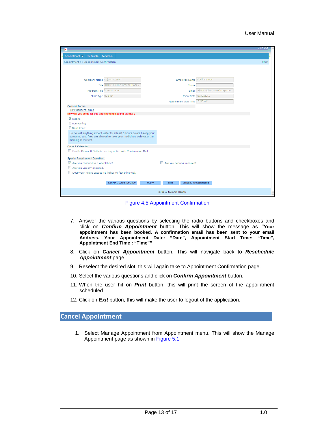| ×                                                                                                                                                                        | Sign Out |  |
|--------------------------------------------------------------------------------------------------------------------------------------------------------------------------|----------|--|
| Feedback<br>My Profile<br>Appointment $\blacktriangledown$                                                                                                               |          |  |
| Appointment >> Appointment Confirmation                                                                                                                                  | ritwik   |  |
|                                                                                                                                                                          |          |  |
|                                                                                                                                                                          |          |  |
|                                                                                                                                                                          |          |  |
| Company Name Rajesh CLIENT<br>Employee Name Ritwik Kumar                                                                                                                 |          |  |
| Site L010511-3162 Ground Floor, S<br>Phone                                                                                                                               |          |  |
| Email rajesh.s@technosoftcorp.com<br>Program Title Immunization                                                                                                          |          |  |
| Event Date 06/30/2010<br>Clinic Type Flu shot                                                                                                                            |          |  |
| Appointment Start Time 10:30 AM                                                                                                                                          |          |  |
| <b>Consent Forms</b><br><b>View Consent Forms</b>                                                                                                                        |          |  |
| How will you come for this appointment (Fasting Status) ?                                                                                                                |          |  |
| $\odot$ Fasting                                                                                                                                                          |          |  |
| O Non Fasting                                                                                                                                                            |          |  |
| O Don't know                                                                                                                                                             |          |  |
| Do not eat anything except water for atleast 9 hours before having your<br>screening test. You are allowed to take your medicines with water the<br>morning of the test. |          |  |
| <b>Outlook Calendar</b>                                                                                                                                                  |          |  |
| Enable Microsoft Outlook meeting notice with Confirmation Mail                                                                                                           |          |  |
| <b>Special Requirement Question:</b>                                                                                                                                     |          |  |
| Are you confined to a wheelchair?<br>Are you hearing impaired?                                                                                                           |          |  |
| Are you visually impaired?                                                                                                                                               |          |  |
| Does your height exceed 81 inches (6 feet 9 inches)?                                                                                                                     |          |  |
|                                                                                                                                                                          |          |  |
| CONFIRM APPOINTMENT<br>CANCEL APPOINTMENT<br><b>PRINT</b><br><b>EXIT</b>                                                                                                 |          |  |
| C 2010 Summit Health                                                                                                                                                     |          |  |

Figure 4.5 Appointment Confirmation

- 7. Answer the various questions by selecting the radio buttons and checkboxes and click on *Confirm Appointment* button. This will show the message as *"***Your appointment has been booked. A confirmation email has been sent to your email Address. Your Appointment Date: "Date", Appointment Start Time: "Time", Appointment End Time : "Time""**
- 8. Click on *Cancel Appointment* button. This will navigate back to *Reschedule Appointment* page.
- 9. Reselect the desired slot, this will again take to Appointment Confirmation page.
- 10. Select the various questions and click on *Confirm Appointment* button.
- 11. When the user hit on *Print* button, this will print the screen of the appointment scheduled.
- 12. Click on *Exit* button, this will make the user to logout of the application.

#### **Cancel Appointment**

1. Select Manage Appointment from Appointment menu. This will show the Manage Appointment page as shown in Figure 5.1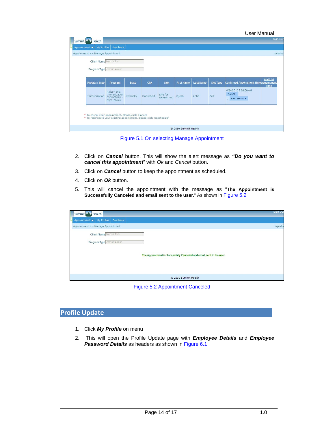| Appointment >> Manage Appointment<br>Client Name Rajesh Inc. |                                                             |              |            |                         |                   |                  |                  |                                                                          |
|--------------------------------------------------------------|-------------------------------------------------------------|--------------|------------|-------------------------|-------------------|------------------|------------------|--------------------------------------------------------------------------|
| Program Type Immunization                                    |                                                             |              |            |                         |                   |                  |                  |                                                                          |
| <b>Program Type</b>                                          | Program                                                     | <b>State</b> | City       | <b>Site</b>             | <b>First Name</b> | <b>Last Name</b> | <b>Slot Type</b> | WaitList<br><b>Confirmed Appointment Time</b> Appointment<br><b>Time</b> |
| Immunization                                                 | Rajesh Inc.<br>Immunization<br>$03/19/2010 -$<br>05/31/2010 | Kentucky     | Moorefield | Site for<br>Rajesh Inc. | rajesh            | sinha            | Self             | 4/24/2010 9:00:00 AM<br>CANCEL<br>RESCHEDULE                             |

Figure 5.1 On selecting Manage Appointment

- 2. Click on *Cancel* button. This will show the alert message as *"Do you want to cancel this appointment*" with *Ok* and *Cancel* button.
- 3. Click on *Cancel* button to keep the appointment as scheduled.
- 4. Click on *Ok* button.
- 5. This will cancel the appointment with the message as "**The Appointment is Successfully Canceled and email sent to the user.**" As shown in Figure 5.2

| Summit Health                                             |                                                                     | Sign Ou |
|-----------------------------------------------------------|---------------------------------------------------------------------|---------|
| Appointment $\blacktriangleright$   My Profile   Feedback |                                                                     |         |
| Appointment >> Manage Appointment                         |                                                                     | rajeshs |
| Client Name Rajesh Inc.                                   |                                                                     |         |
| Program Type Immunization                                 |                                                                     |         |
|                                                           | The Appointment is Sucessfully Canceled and email sent to the user. |         |
|                                                           | © 2010 Summit Health                                                |         |

Figure 5.2 Appointment Canceled

## **Profile Update**

- 1. Click *My Profile* on menu
- 2. This will open the Profile Update page with *Employee Details* and *Employee Password Details* as headers as shown in Figure 6.1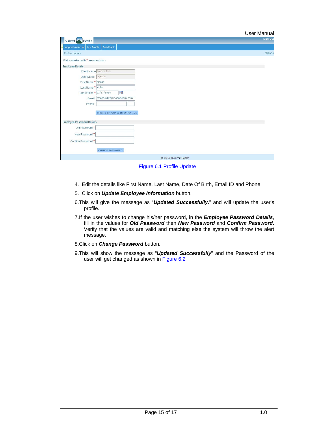| User Manual |
|-------------|
|             |

|                                         | <b>User Manual</b> |
|-----------------------------------------|--------------------|
| Summit Health                           | Sign Out           |
| My Profile<br>Feedback<br>Appointment v |                    |
| Profile Update                          | rajeshs            |
| Fields marked with * are mandatory      |                    |
| <b>Employee Details</b>                 |                    |
| Client Name Rajesh Inc.                 |                    |
| User Name rajeshs                       |                    |
| First Name * rajesh                     |                    |
| Last Name * sinha                       |                    |
| ■<br>Date Of Birth * 07/17/1984         |                    |
| rajesh.s@technosoftcorp.com<br>Email    |                    |
| Phone                                   |                    |
| UPDATE EMPLOYEE INFORMATION             |                    |
|                                         |                    |
| <b>Employee Password Details</b>        |                    |
| Old Password *                          |                    |
| New Password <sup>*</sup>               |                    |
|                                         |                    |
| Confirm Password <sup>*</sup>           |                    |
| CHANGE PASSWORD                         |                    |
| © 2010 Summit Health                    |                    |

Figure 6.1 Profile Update

- 4. Edit the details like First Name, Last Name, Date Of Birth, Email ID and Phone.
- 5. Click on *Update Employee Information* button.
- 6. This will give the message as "*Updated Successfully.*" and will update the user's profile.
- 7. If the user wishes to change his/her password, in the *Employee Password Details*, fill in the values for *Old Password* then *New Password* and *Confirm Password*. Verify that the values are valid and matching else the system will throw the alert message.
- 8. Click on *Change Password* button.
- 9. This will show the message as "*Updated Successfully*" and the Password of the user will get changed as shown in Figure 6.2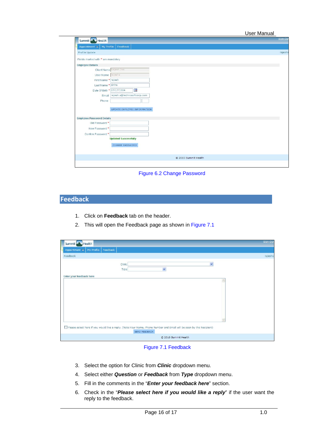User Manual

| Summit Health                                                   | Sign Out |
|-----------------------------------------------------------------|----------|
| My Profile<br>Feedback<br>Appointment v                         |          |
| Profile Update                                                  | rajeshs  |
| Fields marked with * are mandatory                              |          |
| <b>Employee Details</b>                                         |          |
| Client Name Rajesh Inc.                                         |          |
| User Name rajeshs                                               |          |
| First Name * rajesh                                             |          |
| Last Name * sinha                                               |          |
| m<br>Date Of Birth * 07/17/1984                                 |          |
| Email rajesh.s@technosoftcorp.com                               |          |
| Phone                                                           |          |
| UPDATE EMPLOYEE INFORMATION<br><b>Employee Password Details</b> |          |
| Old Password *                                                  |          |
| New Password *                                                  |          |
| Confirm Password *                                              |          |
| <b>Updated Successfully</b>                                     |          |
| CHANGE PASSWORD                                                 |          |
| @ 2010 Summit Health                                            |          |
|                                                                 |          |
|                                                                 |          |

Figure 6.2 Change Password

# **Feedback**

- 1. Click on **Feedback** tab on the header.
- 2. This will open the Feedback page as shown in Figure 7.1

| Summit Health                                                                                                        | Sign Out |
|----------------------------------------------------------------------------------------------------------------------|----------|
| Feedback<br>My Profile<br>Appointment $\blacktriangledown$                                                           |          |
| Feedback                                                                                                             | rajeshs  |
| $\checkmark$<br>Clinic<br>$\checkmark$<br>Type                                                                       |          |
| Enter your feedback here                                                                                             |          |
|                                                                                                                      |          |
|                                                                                                                      |          |
|                                                                                                                      |          |
|                                                                                                                      |          |
|                                                                                                                      |          |
|                                                                                                                      |          |
| Please select here if you would like a reply. (Note:Your Name, Phone Number and Email will be seen by the Recipient) |          |
| SEND FEEDBACK                                                                                                        |          |
| © 2010 Summit Health                                                                                                 |          |

#### Figure 7.1 Feedback

- 3. Select the option for Clinic from *Clinic* dropdown menu.
- 4. Select either *Question* or *Feedback* from *Type* dropdown menu.
- 5. Fill in the comments in the "*Enter your feedback here*" section.
- 6. Check in the "*Please select here if you would like a reply*" if the user want the reply to the feedback.